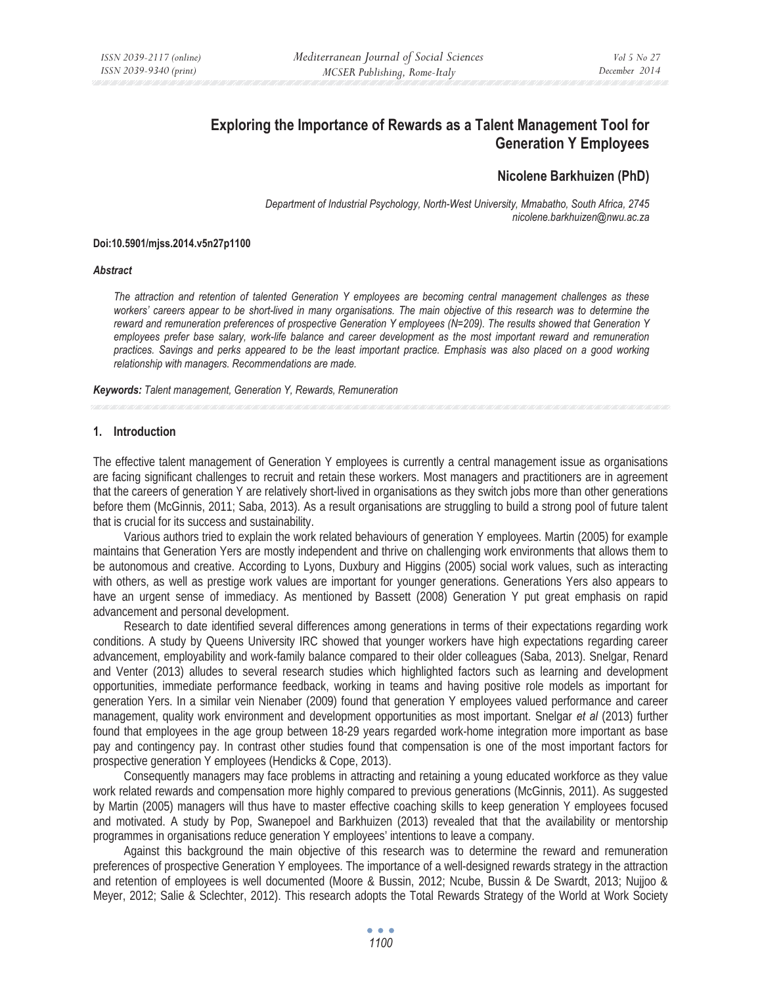# **Exploring the Importance of Rewards as a Talent Management Tool for Generation Y Employees**

# **Nicolene Barkhuizen (PhD)**

*Department of Industrial Psychology, North-West University, Mmabatho, South Africa, 2745 nicolene.barkhuizen@nwu.ac.za* 

#### **Doi:10.5901/mjss.2014.v5n27p1100**

#### *Abstract*

*The attraction and retention of talented Generation Y employees are becoming central management challenges as these workers' careers appear to be short-lived in many organisations. The main objective of this research was to determine the reward and remuneration preferences of prospective Generation Y employees (N=209). The results showed that Generation Y*  employees prefer base salary, work-life balance and career development as the most important reward and remuneration *practices. Savings and perks appeared to be the least important practice. Emphasis was also placed on a good working relationship with managers. Recommendations are made.* 

*Keywords: Talent management, Generation Y, Rewards, Remuneration* 

#### **1. Introduction**

The effective talent management of Generation Y employees is currently a central management issue as organisations are facing significant challenges to recruit and retain these workers. Most managers and practitioners are in agreement that the careers of generation Y are relatively short-lived in organisations as they switch jobs more than other generations before them (McGinnis, 2011; Saba, 2013). As a result organisations are struggling to build a strong pool of future talent that is crucial for its success and sustainability.

Various authors tried to explain the work related behaviours of generation Y employees. Martin (2005) for example maintains that Generation Yers are mostly independent and thrive on challenging work environments that allows them to be autonomous and creative. According to Lyons, Duxbury and Higgins (2005) social work values, such as interacting with others, as well as prestige work values are important for younger generations. Generations Yers also appears to have an urgent sense of immediacy. As mentioned by Bassett (2008) Generation Y put great emphasis on rapid advancement and personal development.

Research to date identified several differences among generations in terms of their expectations regarding work conditions. A study by Queens University IRC showed that younger workers have high expectations regarding career advancement, employability and work-family balance compared to their older colleagues (Saba, 2013). Snelgar, Renard and Venter (2013) alludes to several research studies which highlighted factors such as learning and development opportunities, immediate performance feedback, working in teams and having positive role models as important for generation Yers. In a similar vein Nienaber (2009) found that generation Y employees valued performance and career management, quality work environment and development opportunities as most important. Snelgar *et al* (2013) further found that employees in the age group between 18-29 years regarded work-home integration more important as base pay and contingency pay. In contrast other studies found that compensation is one of the most important factors for prospective generation Y employees (Hendicks & Cope, 2013).

Consequently managers may face problems in attracting and retaining a young educated workforce as they value work related rewards and compensation more highly compared to previous generations (McGinnis, 2011). As suggested by Martin (2005) managers will thus have to master effective coaching skills to keep generation Y employees focused and motivated. A study by Pop, Swanepoel and Barkhuizen (2013) revealed that that the availability or mentorship programmes in organisations reduce generation Y employees' intentions to leave a company.

Against this background the main objective of this research was to determine the reward and remuneration preferences of prospective Generation Y employees. The importance of a well-designed rewards strategy in the attraction and retention of employees is well documented (Moore & Bussin, 2012; Ncube, Bussin & De Swardt, 2013; Nujjoo & Meyer, 2012; Salie & Sclechter, 2012). This research adopts the Total Rewards Strategy of the World at Work Society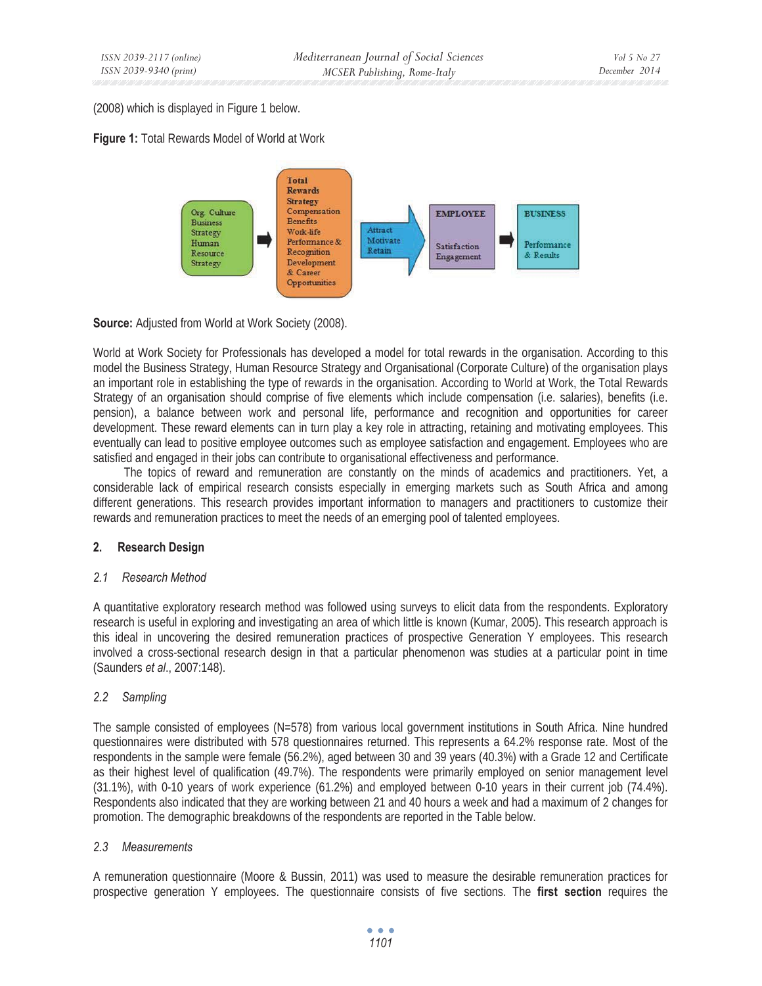(2008) which is displayed in Figure 1 below.





**Source:** Adjusted from World at Work Society (2008).

World at Work Society for Professionals has developed a model for total rewards in the organisation. According to this model the Business Strategy, Human Resource Strategy and Organisational (Corporate Culture) of the organisation plays an important role in establishing the type of rewards in the organisation. According to World at Work, the Total Rewards Strategy of an organisation should comprise of five elements which include compensation (i.e. salaries), benefits (i.e. pension), a balance between work and personal life, performance and recognition and opportunities for career development. These reward elements can in turn play a key role in attracting, retaining and motivating employees. This eventually can lead to positive employee outcomes such as employee satisfaction and engagement. Employees who are satisfied and engaged in their jobs can contribute to organisational effectiveness and performance.

The topics of reward and remuneration are constantly on the minds of academics and practitioners. Yet, a considerable lack of empirical research consists especially in emerging markets such as South Africa and among different generations. This research provides important information to managers and practitioners to customize their rewards and remuneration practices to meet the needs of an emerging pool of talented employees.

# **2. Research Design**

# *2.1 Research Method*

A quantitative exploratory research method was followed using surveys to elicit data from the respondents. Exploratory research is useful in exploring and investigating an area of which little is known (Kumar, 2005). This research approach is this ideal in uncovering the desired remuneration practices of prospective Generation Y employees. This research involved a cross-sectional research design in that a particular phenomenon was studies at a particular point in time (Saunders *et al*., 2007:148).

# *2.2 Sampling*

The sample consisted of employees (N=578) from various local government institutions in South Africa. Nine hundred questionnaires were distributed with 578 questionnaires returned. This represents a 64.2% response rate. Most of the respondents in the sample were female (56.2%), aged between 30 and 39 years (40.3%) with a Grade 12 and Certificate as their highest level of qualification (49.7%). The respondents were primarily employed on senior management level (31.1%), with 0-10 years of work experience (61.2%) and employed between 0-10 years in their current job (74.4%). Respondents also indicated that they are working between 21 and 40 hours a week and had a maximum of 2 changes for promotion. The demographic breakdowns of the respondents are reported in the Table below.

# *2.3 Measurements*

A remuneration questionnaire (Moore & Bussin, 2011) was used to measure the desirable remuneration practices for prospective generation Y employees. The questionnaire consists of five sections. The **first section** requires the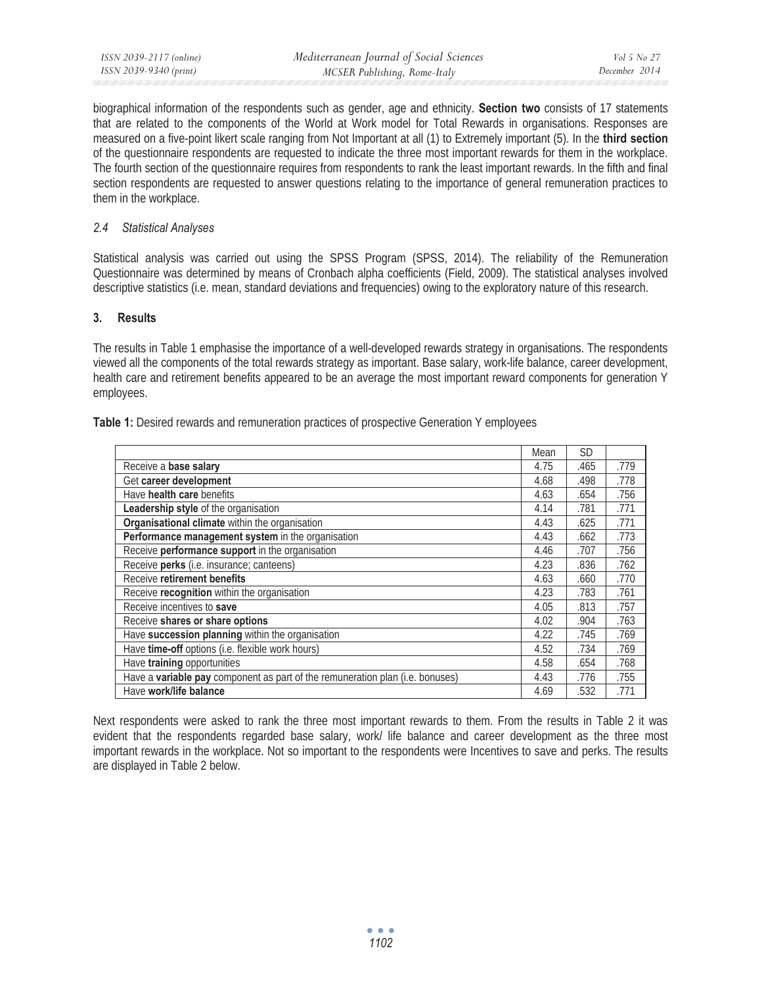biographical information of the respondents such as gender, age and ethnicity. **Section two** consists of 17 statements that are related to the components of the World at Work model for Total Rewards in organisations. Responses are measured on a five-point likert scale ranging from Not Important at all (1) to Extremely important (5). In the **third section** of the questionnaire respondents are requested to indicate the three most important rewards for them in the workplace. The fourth section of the questionnaire requires from respondents to rank the least important rewards. In the fifth and final section respondents are requested to answer questions relating to the importance of general remuneration practices to them in the workplace.

### *2.4 Statistical Analyses*

Statistical analysis was carried out using the SPSS Program (SPSS, 2014). The reliability of the Remuneration Questionnaire was determined by means of Cronbach alpha coefficients (Field, 2009). The statistical analyses involved descriptive statistics (i.e. mean, standard deviations and frequencies) owing to the exploratory nature of this research.

### **3. Results**

The results in Table 1 emphasise the importance of a well-developed rewards strategy in organisations. The respondents viewed all the components of the total rewards strategy as important. Base salary, work-life balance, career development, health care and retirement benefits appeared to be an average the most important reward components for generation Y employees.

|                                                                                      | Mean | <b>SD</b> |      |
|--------------------------------------------------------------------------------------|------|-----------|------|
| Receive a base salary                                                                | 4.75 | .465      | .779 |
| Get career development                                                               | 4.68 | .498      | .778 |
| Have health care benefits                                                            | 4.63 | .654      | .756 |
| <b>Leadership style of the organisation</b>                                          | 4.14 | .781      | .771 |
| Organisational climate within the organisation                                       | 4.43 | .625      | .771 |
| Performance management system in the organisation                                    | 4.43 | .662      | .773 |
| Receive performance support in the organisation                                      | 4.46 | .707      | .756 |
| Receive perks (i.e. insurance; canteens)                                             | 4.23 | .836      | .762 |
| Receive retirement benefits                                                          | 4.63 | .660      | .770 |
| Receive recognition within the organisation                                          | 4.23 | .783      | .761 |
| Receive incentives to save                                                           | 4.05 | .813      | .757 |
| Receive shares or share options                                                      | 4.02 | .904      | .763 |
| Have succession planning within the organisation                                     | 4.22 | .745      | .769 |
| Have time-off options (i.e. flexible work hours)                                     | 4.52 | .734      | .769 |
| Have training opportunities                                                          | 4.58 | .654      | .768 |
| Have a <b>variable pay</b> component as part of the remuneration plan (i.e. bonuses) | 4.43 | .776      | .755 |
| Have work/life balance                                                               | 4.69 | .532      | .771 |

Next respondents were asked to rank the three most important rewards to them. From the results in Table 2 it was evident that the respondents regarded base salary, work/ life balance and career development as the three most important rewards in the workplace. Not so important to the respondents were Incentives to save and perks. The results are displayed in Table 2 below.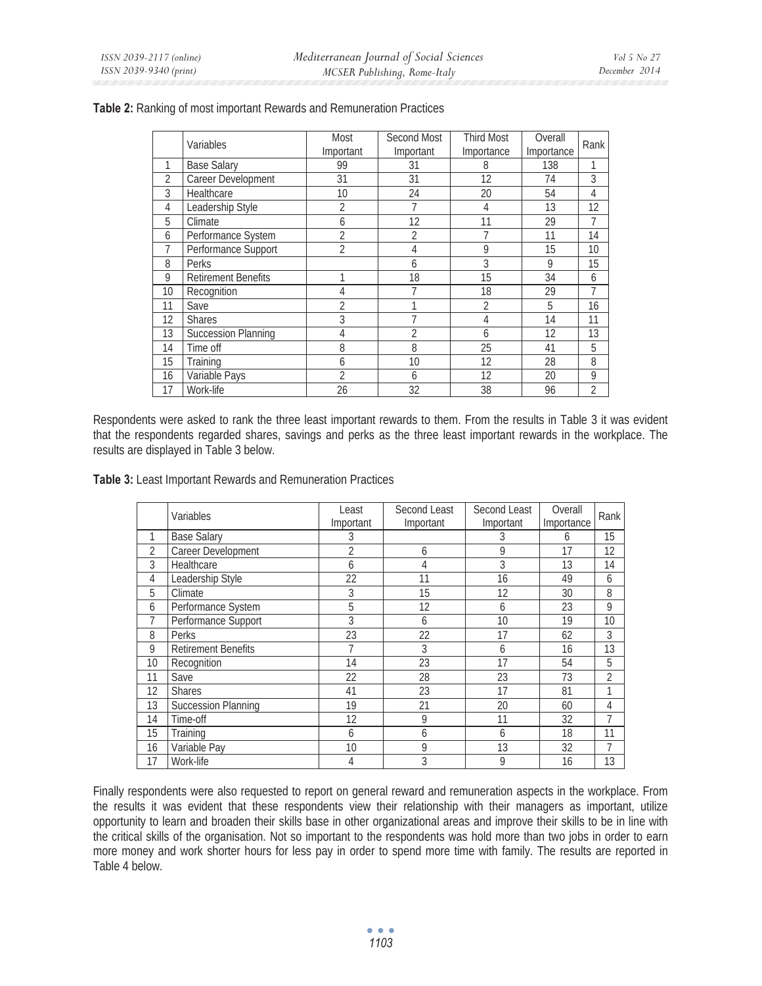|                | Variables                  | Most<br>Important | Second Most<br>Important | <b>Third Most</b><br>Importance | Overall<br>Importance | Rank           |
|----------------|----------------------------|-------------------|--------------------------|---------------------------------|-----------------------|----------------|
| 1              | <b>Base Salary</b>         | 99                | 31                       | 8                               | 138                   |                |
| $\overline{2}$ | Career Development         | 31                | 31                       | 12                              | 74                    | 3              |
| 3              | <b>Healthcare</b>          | 10                | 24                       | 20                              | 54                    | 4              |
| 4              | Leadership Style           | $\overline{2}$    | 7                        | 4                               | 13                    | 12             |
| 5              | Climate                    | 6                 | 12                       | 11                              | 29                    | 7              |
| 6              | Performance System         | $\overline{2}$    | $\overline{2}$           | 7                               | 11                    | 14             |
| 7              | Performance Support        | $\overline{2}$    | 4                        | 9                               | 15                    | 10             |
| 8              | Perks                      |                   | 6                        | 3                               | 9                     | 15             |
| 9              | <b>Retirement Benefits</b> |                   | 18                       | 15                              | 34                    | 6              |
| 10             | Recognition                | 4                 |                          | 18                              | 29                    | 7              |
| 11             | Save                       | $\overline{2}$    |                          | $\overline{2}$                  | 5                     | 16             |
| 12             | <b>Shares</b>              | 3                 |                          | 4                               | 14                    | 11             |
| 13             | <b>Succession Planning</b> | 4                 | $\overline{2}$           | 6                               | 12                    | 13             |
| 14             | Time off                   | 8                 | 8                        | 25                              | 41                    | 5              |
| 15             | Training                   | 6                 | 10                       | 12                              | 28                    | 8              |
| 16             | Variable Pays              | $\mathfrak{D}$    | 6                        | 12                              | 20                    | 9              |
| 17             | Work-life                  | 26                | 32                       | 38                              | 96                    | $\overline{2}$ |

### **Table 2:** Ranking of most important Rewards and Remuneration Practices

Respondents were asked to rank the three least important rewards to them. From the results in Table 3 it was evident that the respondents regarded shares, savings and perks as the three least important rewards in the workplace. The results are displayed in Table 3 below.

**Table 3:** Least Important Rewards and Remuneration Practices

|                | Variables                  | Least<br>Important | Second Least<br>Important | Second Least<br>Important | Overall<br>Importance | Rank           |
|----------------|----------------------------|--------------------|---------------------------|---------------------------|-----------------------|----------------|
|                | <b>Base Salary</b>         | 3                  |                           | 3                         | 6                     | 15             |
| $\overline{2}$ | Career Development         | $\overline{2}$     | 6                         | 9                         | 17                    | 12             |
| 3              | Healthcare                 | 6                  | 4                         | 3                         | 13                    | 14             |
| 4              | Leadership Style           | 22                 | 11                        | 16                        | 49                    | 6              |
| 5              | Climate                    | 3                  | 15                        | 12                        | 30                    | 8              |
| 6              | Performance System         | 5                  | 12                        | 6                         | 23                    | 9              |
| 7              | Performance Support        | 3                  | 6                         | 10                        | 19                    | 10             |
| 8              | Perks                      | 23                 | 22                        | 17                        | 62                    | 3              |
| 9              | <b>Retirement Benefits</b> |                    | 3                         | 6                         | 16                    | 13             |
| 10             | Recognition                | 14                 | 23                        | 17                        | 54                    | 5              |
| 11             | Save                       | 22                 | 28                        | 23                        | 73                    | $\overline{2}$ |
| 12             | <b>Shares</b>              | 41                 | 23                        | 17                        | 81                    | 1              |
| 13             | <b>Succession Planning</b> | 19                 | 21                        | 20                        | 60                    | 4              |
| 14             | Time-off                   | 12                 | 9                         | 11                        | 32                    | 7              |
| 15             | Training                   | 6                  | 6                         | 6                         | 18                    | 11             |
| 16             | Variable Pay               | 10                 | 9                         | 13                        | 32                    | 7              |
| 17             | Work-life                  | 4                  | 3                         | 9                         | 16                    | 13             |

Finally respondents were also requested to report on general reward and remuneration aspects in the workplace. From the results it was evident that these respondents view their relationship with their managers as important, utilize opportunity to learn and broaden their skills base in other organizational areas and improve their skills to be in line with the critical skills of the organisation. Not so important to the respondents was hold more than two jobs in order to earn more money and work shorter hours for less pay in order to spend more time with family. The results are reported in Table 4 below.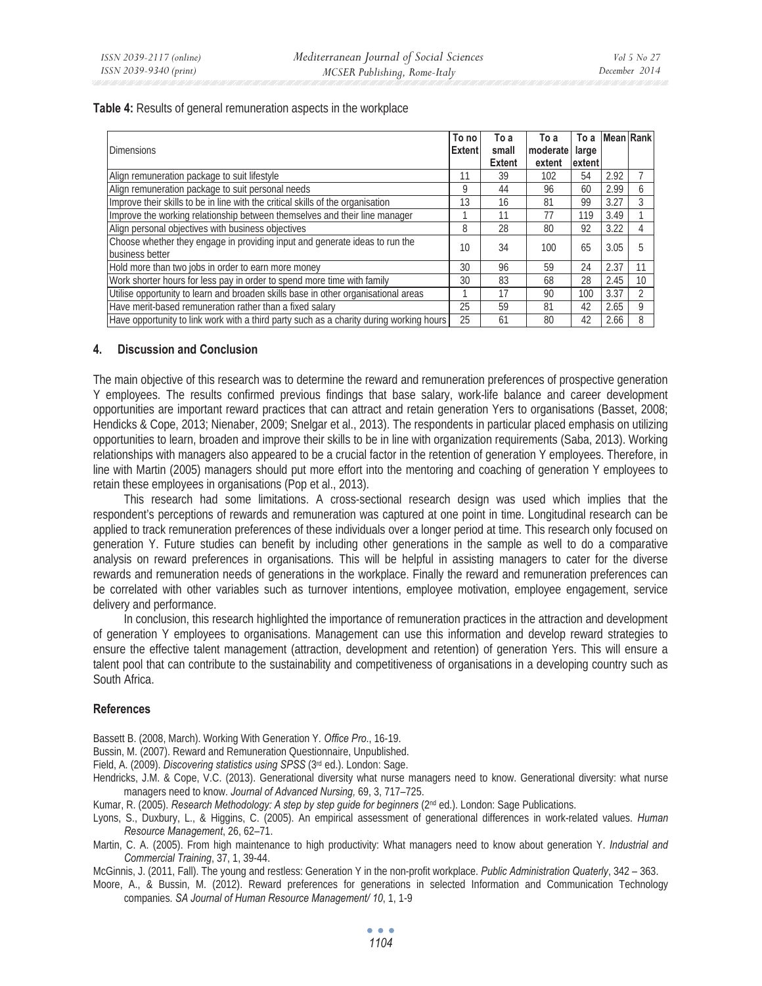**Table 4:** Results of general remuneration aspects in the workplace

| <b>Dimensions</b>                                                                              | To no<br><b>Extent</b> | To a<br>small<br><b>Extent</b> | To a<br>moderate<br>extent | To a<br>large<br>extent | Mean Rank |    |
|------------------------------------------------------------------------------------------------|------------------------|--------------------------------|----------------------------|-------------------------|-----------|----|
| Align remuneration package to suit lifestyle                                                   |                        | 39                             | 102                        | 54                      | 2.92      |    |
| Align remuneration package to suit personal needs                                              | 9                      | 44                             | 96                         | 60                      | 2.99      | h  |
| Improve their skills to be in line with the critical skills of the organisation                | 13                     | 16                             | 81                         | 99                      | 3.27      |    |
| Improve the working relationship between themselves and their line manager                     |                        | 11                             | 77                         | 119                     | 3.49      |    |
| Align personal objectives with business objectives                                             | 8                      | 28                             | 80                         | 92                      | 3.22      |    |
| Choose whether they engage in providing input and generate ideas to run the<br>business better | 10                     | 34                             | 100                        | 65                      | 3.05      |    |
| Hold more than two jobs in order to earn more money                                            | 30                     | 96                             | 59                         | 24                      | 2.37      |    |
| Work shorter hours for less pay in order to spend more time with family                        | 30                     | 83                             | 68                         | 28                      | 2.45      | 10 |
| Utilise opportunity to learn and broaden skills base in other organisational areas             |                        | 17                             | 90                         | 100                     | 3.37      |    |
| Have merit-based remuneration rather than a fixed salary                                       | 25                     | 59                             | 81                         | 42                      | 2.65      | 9  |
| Have opportunity to link work with a third party such as a charity during working hours        | 25                     | 61                             | 80                         | 42                      | 2.66      | 8  |

### **4. Discussion and Conclusion**

The main objective of this research was to determine the reward and remuneration preferences of prospective generation Y employees. The results confirmed previous findings that base salary, work-life balance and career development opportunities are important reward practices that can attract and retain generation Yers to organisations (Basset, 2008; Hendicks & Cope, 2013; Nienaber, 2009; Snelgar et al., 2013). The respondents in particular placed emphasis on utilizing opportunities to learn, broaden and improve their skills to be in line with organization requirements (Saba, 2013). Working relationships with managers also appeared to be a crucial factor in the retention of generation Y employees. Therefore, in line with Martin (2005) managers should put more effort into the mentoring and coaching of generation Y employees to retain these employees in organisations (Pop et al., 2013).

This research had some limitations. A cross-sectional research design was used which implies that the respondent's perceptions of rewards and remuneration was captured at one point in time. Longitudinal research can be applied to track remuneration preferences of these individuals over a longer period at time. This research only focused on generation Y. Future studies can benefit by including other generations in the sample as well to do a comparative analysis on reward preferences in organisations. This will be helpful in assisting managers to cater for the diverse rewards and remuneration needs of generations in the workplace. Finally the reward and remuneration preferences can be correlated with other variables such as turnover intentions, employee motivation, employee engagement, service delivery and performance.

In conclusion, this research highlighted the importance of remuneration practices in the attraction and development of generation Y employees to organisations. Management can use this information and develop reward strategies to ensure the effective talent management (attraction, development and retention) of generation Yers. This will ensure a talent pool that can contribute to the sustainability and competitiveness of organisations in a developing country such as South Africa.

# **References**

Bassett B. (2008, March). Working With Generation Y. *Office Pro*., 16-19.

Bussin, M. (2007). Reward and Remuneration Questionnaire, Unpublished.

- Field, A. (2009). *Discovering statistics using SPSS* (3rd ed.). London: Sage.
- Hendricks, J.M. & Cope, V.C. (2013). Generational diversity what nurse managers need to know. Generational diversity: what nurse managers need to know. *Journal of Advanced Nursing,* 69, 3, 717–725.
- Kumar, R. (2005). *Research Methodology: A step by step guide for beginners* ( $2<sup>nd</sup>$  ed.). London: Sage Publications.
- Lyons, S., Duxbury, L., & Higgins, C. (2005). An empirical assessment of generational differences in work-related values. *Human Resource Management*, 26, 62–71.
- Martin, C. A. (2005). From high maintenance to high productivity: What managers need to know about generation Y. *Industrial and Commercial Training*, 37, 1, 39-44.

McGinnis, J. (2011, Fall). The young and restless: Generation Y in the non-profit workplace. *Public Administration Quaterly*, 342 – 363.

Moore, A., & Bussin, M. (2012). Reward preferences for generations in selected Information and Communication Technology companies. *SA Journal of Human Resource Management/ 10*, 1, 1-9